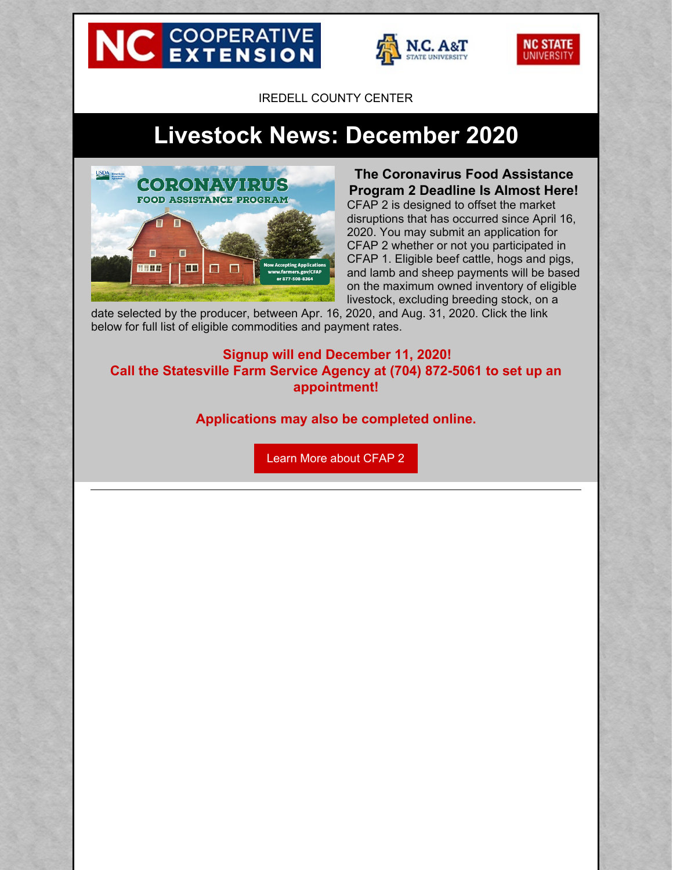# **NC EXTENSION**





IREDELL COUNTY CENTER

# **Livestock News: December 2020**



**The Coronavirus Food Assistance Program 2 Deadline Is Almost Here!** CFAP 2 is designed to offset the market disruptions that has occurred since April 16, 2020. You may submit an application for CFAP 2 whether or not you participated in CFAP 1. Eligible beef cattle, hogs and pigs, and lamb and sheep payments will be based on the maximum owned inventory of eligible livestock, excluding breeding stock, on a

date selected by the producer, between Apr. 16, 2020, and Aug. 31, 2020. Click the link below for full list of eligible commodities and payment rates.

**Signup will end December 11, 2020! Call the Statesville Farm Service Agency at (704) 872-5061 to set up an appointment!**

**Applications may also be completed online.**

Learn More about [CFAP](http://farmers.gov/cfap) 2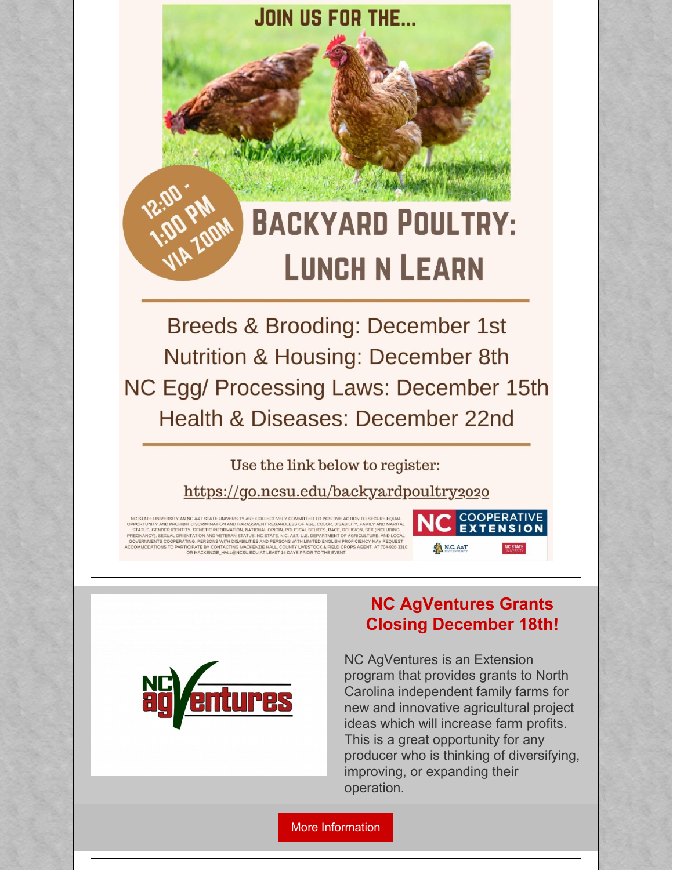# **BACKYARD POULTRY: LUNCH N LEARN**

Breeds & Brooding: December 1st **Nutrition & Housing: December 8th** NC Egg/ Processing Laws: December 15th Health & Diseases: December 22nd

**JOIN US FOR THE...** 

Use the link below to register:

https://go.ncsu.edu/backyardpoultry2020

NC STATE UNIVERSITY AN NC A&T STATE UNIVERSITY ARE COLLECTIVELY COMMITTED TO POSITIVE ACTION TO SECURE EQUAL<br>PPORTIUNTY AND PROHIBIT DISCRIMINATION AND HARASSMENT REGARDLESS OF AGE, COLOR, DISABILITY, FAMILY AND MARITAL<br>ST IC STATE UNIVERSITY AN NC A&T STATE UNIVERSITY ARE CONTINITY AND PROHIBIT DISCRIMINATION AND HARASSMI<br>FORTUNITY AND PROHIBIT DISCRIMINATION AND HARASSMI<br>EGNANCY), SEXUAL ORIENTATION AND VETERAN STATUS.<br>VERNMENTS COOPERATIN OR MACKENZIE HALL@NCSU.EDU AT LEAST 14 DAYS PRIOR TO THE EVE





#### **NC AgVentures Grants Closing December 18th!**

NC AgVentures is an Extension program that provides grants to North Carolina independent family farms for new and innovative agricultural project ideas which will increase farm profits. This is a great opportunity for any producer who is thinking of diversifying, improving, or expanding their operation.

More [Information](https://agventures.ces.ncsu.edu/register-for-an-application-information-workshop/)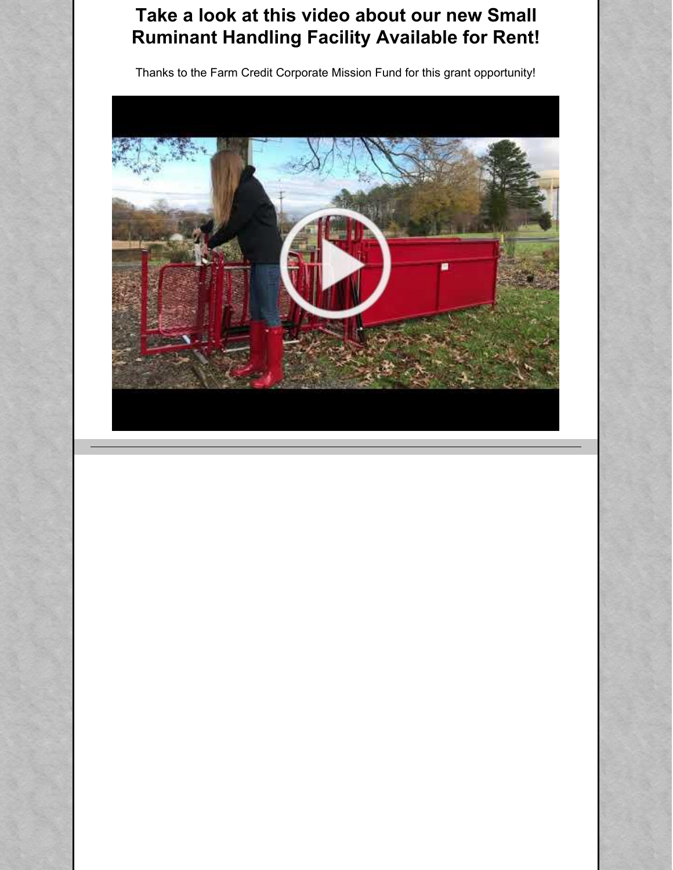# **Take a look at this video about our new Small Ruminant Handling Facility Available for Rent!**

Thanks to the Farm Credit Corporate Mission Fund for this grant opportunity!

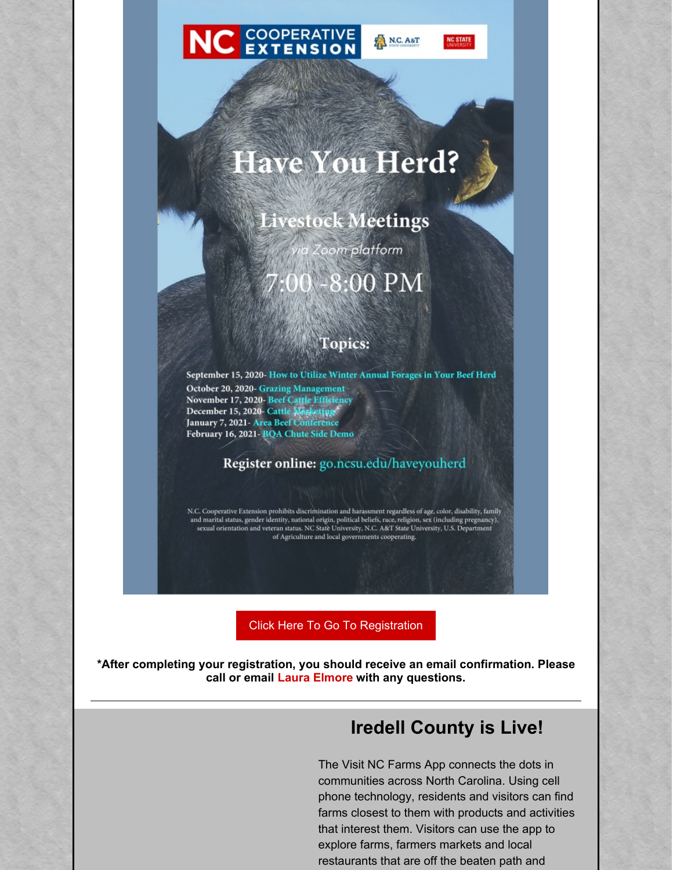



**ANC. A&T** 

# **Have You Herd?**

**Livestock Meetings** 

oom platform 8:00 PM

#### **Topics:**

September 15, 2020- How to Utilize Winter Annual Forages in Your Beef Herd October 20, 2020- Grazing Management November 17, 2020 Beef Cattle Efficiency<br>
December 15, 2020 Cattle Magic Lings<br>
January 7, 2021 - Area Beef Conference February 16, 2021- BQA Chute Side Demo

#### Register online: go.ncsu.edu/haveyouherd

N.C. Cooperative Extension prohibits discrimination and harassment regardless of age, color, disability, family and marital status, gender identity, national origin, political beliefs, race, religion, sex (including pregn of Agriculture and local governments cooperating.

Click Here To Go To [Registration](http://go.ncsu.edu/haveyouherd)

**\*After completing your registration, you should receive an email confirmation. Please call or email Laura [Elmore](mailto:laelmore@ncsu.edu) with any questions.**

# **Iredell County is Live!**

The Visit NC Farms App connects the dots in communities across North Carolina. Using cell phone technology, residents and visitors can find farms closest to them with products and activities that interest them. Visitors can use the app to explore farms, farmers markets and local restaurants that are off the beaten path and